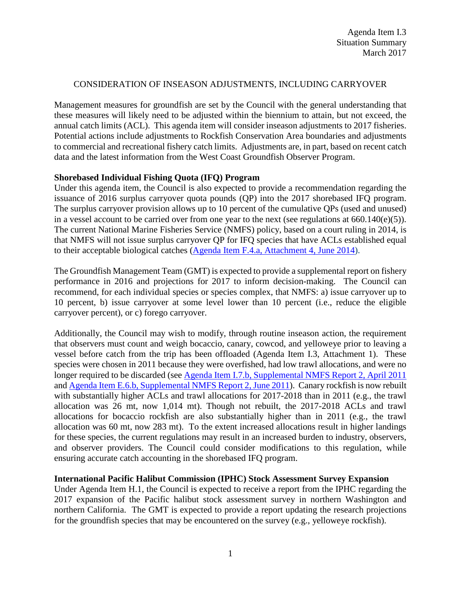### CONSIDERATION OF INSEASON ADJUSTMENTS, INCLUDING CARRYOVER

Management measures for groundfish are set by the Council with the general understanding that these measures will likely need to be adjusted within the biennium to attain, but not exceed, the annual catch limits (ACL). This agenda item will consider inseason adjustments to 2017 fisheries. Potential actions include adjustments to Rockfish Conservation Area boundaries and adjustments to commercial and recreational fishery catch limits. Adjustments are, in part, based on recent catch data and the latest information from the West Coast Groundfish Observer Program.

#### **Shorebased Individual Fishing Quota (IFQ) Program**

Under this agenda item, the Council is also expected to provide a recommendation regarding the issuance of 2016 surplus carryover quota pounds (QP) into the 2017 shorebased IFQ program. The surplus carryover provision allows up to 10 percent of the cumulative QPs (used and unused) in a vessel account to be carried over from one year to the next (see regulations at 660.140(e)(5)). The current National Marine Fisheries Service (NMFS) policy, based on a court ruling in 2014, is that NMFS will not issue surplus carryover QP for IFQ species that have ACLs established equal to their acceptable biological catches [\(Agenda Item F.4.a, Attachment 4, June 2014\)](http://www.pcouncil.org/wp-content/uploads/F4a_ATT4_Carryover_JUNE2014BB.pdf).

The Groundfish Management Team (GMT) is expected to provide a supplemental report on fishery performance in 2016 and projections for 2017 to inform decision-making. The Council can recommend, for each individual species or species complex, that NMFS: a) issue carryover up to 10 percent, b) issue carryover at some level lower than 10 percent (i.e., reduce the eligible carryover percent), or c) forego carryover.

Additionally, the Council may wish to modify, through routine inseason action, the requirement that observers must count and weigh bocaccio, canary, cowcod, and yelloweye prior to leaving a vessel before catch from the trip has been offloaded (Agenda Item I.3, Attachment 1). These species were chosen in 2011 because they were overfished, had low trawl allocations, and were no longer required to be discarded (see Agenda [Item I.7.b, Supplemental NMFS Report 2, April 2011](http://www.pcouncil.org/wp-content/uploads/I7b_SUP_NMFS2_APR2011BB.pdf) an[d Agenda Item E.6.b, Supplemental](http://www.pcouncil.org/wp-content/uploads/E6b_SUP_NMFS_RPT2_JUN2011BB.pdf) NMFS Report 2, June 2011). Canary rockfish is now rebuilt with substantially higher ACLs and trawl allocations for 2017-2018 than in 2011 (e.g., the trawl allocation was 26 mt, now 1,014 mt). Though not rebuilt, the 2017-2018 ACLs and trawl allocations for bocaccio rockfish are also substantially higher than in 2011 (e.g., the trawl allocation was 60 mt, now 283 mt). To the extent increased allocations result in higher landings for these species, the current regulations may result in an increased burden to industry, observers, and observer providers. The Council could consider modifications to this regulation, while ensuring accurate catch accounting in the shorebased IFQ program.

#### **International Pacific Halibut Commission (IPHC) Stock Assessment Survey Expansion**

Under Agenda Item H.1, the Council is expected to receive a report from the IPHC regarding the 2017 expansion of the Pacific halibut stock assessment survey in northern Washington and northern California. The GMT is expected to provide a report updating the research projections for the groundfish species that may be encountered on the survey (e.g., yelloweye rockfish).